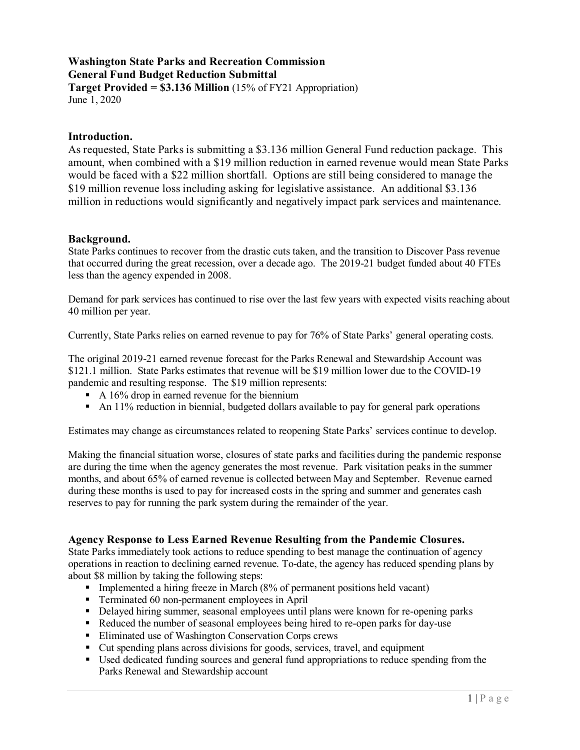# **Washington State Parks and Recreation Commission General Fund Budget Reduction Submittal**

**Target Provided = \$3.136 Million** (15% of FY21 Appropriation) June 1, 2020

# **Introduction.**

As requested, State Parks is submitting a \$3.136 million General Fund reduction package. This amount, when combined with a \$19 million reduction in earned revenue would mean State Parks would be faced with a \$22 million shortfall. Options are still being considered to manage the \$19 million revenue loss including asking for legislative assistance. An additional \$3.136 million in reductions would significantly and negatively impact park services and maintenance.

# **Background.**

State Parks continues to recover from the drastic cuts taken, and the transition to Discover Pass revenue that occurred during the great recession, over a decade ago. The 2019-21 budget funded about 40 FTEs less than the agency expended in 2008.

Demand for park services has continued to rise over the last few years with expected visits reaching about 40 million per year.

Currently, State Parks relies on earned revenue to pay for 76% of State Parks' general operating costs.

The original 2019-21 earned revenue forecast for the Parks Renewal and Stewardship Account was \$121.1 million. State Parks estimates that revenue will be \$19 million lower due to the COVID-19 pandemic and resulting response. The \$19 million represents:

- A  $16\%$  drop in earned revenue for the biennium
- An 11% reduction in biennial, budgeted dollars available to pay for general park operations

Estimates may change as circumstances related to reopening State Parks' services continue to develop.

Making the financial situation worse, closures of state parks and facilities during the pandemic response are during the time when the agency generates the most revenue. Park visitation peaks in the summer months, and about 65% of earned revenue is collected between May and September. Revenue earned during these months is used to pay for increased costs in the spring and summer and generates cash reserves to pay for running the park system during the remainder of the year.

# **Agency Response to Less Earned Revenue Resulting from the Pandemic Closures.**

State Parks immediately took actions to reduce spending to best manage the continuation of agency operations in reaction to declining earned revenue. To-date, the agency has reduced spending plans by about \$8 million by taking the following steps:

- Implemented a hiring freeze in March  $(8\%$  of permanent positions held vacant)
- Terminated 60 non-permanent employees in April
- Delayed hiring summer, seasonal employees until plans were known for re-opening parks
- Reduced the number of seasonal employees being hired to re-open parks for day-use
- Eliminated use of Washington Conservation Corps crews
- Cut spending plans across divisions for goods, services, travel, and equipment
- Used dedicated funding sources and general fund appropriations to reduce spending from the Parks Renewal and Stewardship account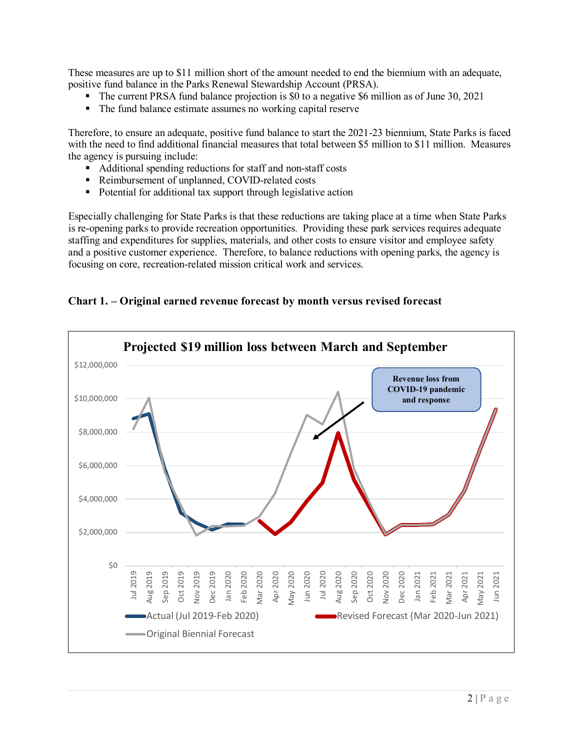These measures are up to \$11 million short of the amount needed to end the biennium with an adequate, positive fund balance in the Parks Renewal Stewardship Account (PRSA).

- The current PRSA fund balance projection is \$0 to a negative \$6 million as of June 30, 2021
- The fund balance estimate assumes no working capital reserve

Therefore, to ensure an adequate, positive fund balance to start the 2021-23 biennium, State Parks is faced with the need to find additional financial measures that total between \$5 million to \$11 million. Measures the agency is pursuing include:

- Additional spending reductions for staff and non-staff costs
- Reimbursement of unplanned, COVID-related costs
- Potential for additional tax support through legislative action

Especially challenging for State Parks is that these reductions are taking place at a time when State Parks is re-opening parks to provide recreation opportunities. Providing these park services requires adequate staffing and expenditures for supplies, materials, and other costs to ensure visitor and employee safety and a positive customer experience. Therefore, to balance reductions with opening parks, the agency is focusing on core, recreation-related mission critical work and services.

# **Chart 1. – Original earned revenue forecast by month versus revised forecast**

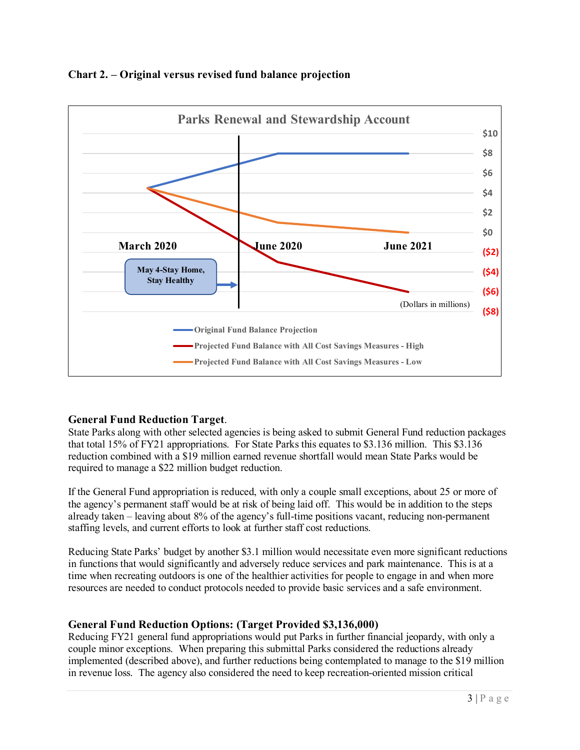



# **General Fund Reduction Target**.

State Parks along with other selected agencies is being asked to submit General Fund reduction packages that total 15% of FY21 appropriations. For State Parks this equates to \$3.136 million. This \$3.136 reduction combined with a \$19 million earned revenue shortfall would mean State Parks would be required to manage a \$22 million budget reduction.

If the General Fund appropriation is reduced, with only a couple small exceptions, about 25 or more of the agency's permanent staff would be at risk of being laid off. This would be in addition to the steps already taken – leaving about 8% of the agency's full-time positions vacant, reducing non-permanent staffing levels, and current efforts to look at further staff cost reductions.

Reducing State Parks' budget by another \$3.1 million would necessitate even more significant reductions in functions that would significantly and adversely reduce services and park maintenance. This is at a time when recreating outdoors is one of the healthier activities for people to engage in and when more resources are needed to conduct protocols needed to provide basic services and a safe environment.

# **General Fund Reduction Options: (Target Provided \$3,136,000)**

Reducing FY21 general fund appropriations would put Parks in further financial jeopardy, with only a couple minor exceptions. When preparing this submittal Parks considered the reductions already implemented (described above), and further reductions being contemplated to manage to the \$19 million in revenue loss. The agency also considered the need to keep recreation-oriented mission critical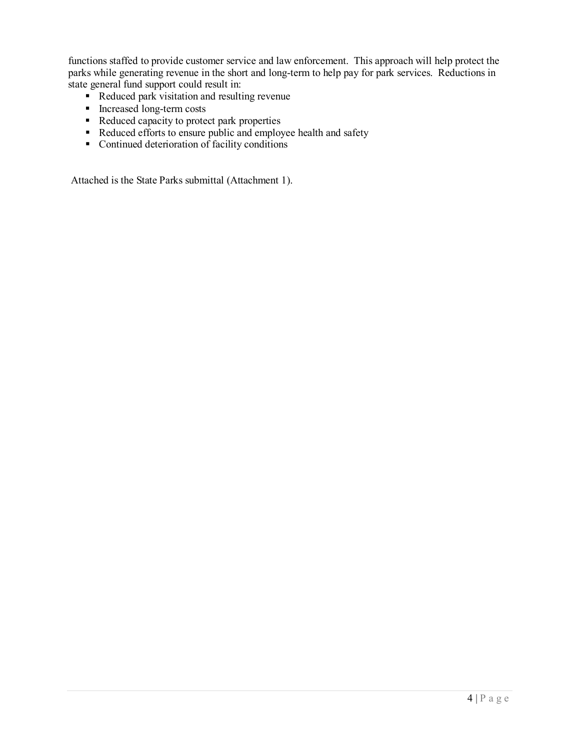functions staffed to provide customer service and law enforcement. This approach will help protect the parks while generating revenue in the short and long-term to help pay for park services. Reductions in state general fund support could result in:

- Reduced park visitation and resulting revenue
- Increased long-term costs
- Reduced capacity to protect park properties
- Reduced efforts to ensure public and employee health and safety
- $\blacksquare$  Continued deterioration of facility conditions

Attached is the State Parks submittal (Attachment 1).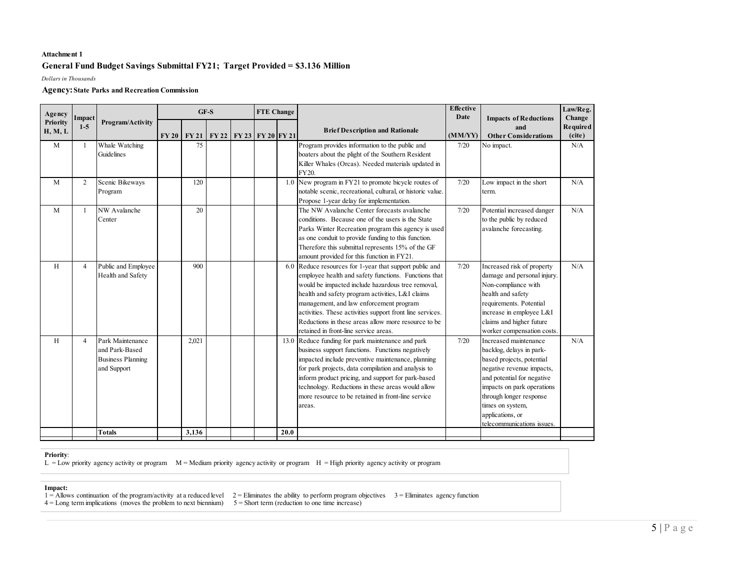## **Attachment 1**

## **General Fund Budget Savings Submittal FY21; Target Provided = \$3.136 Million**

*Dollars in Thousands*

### **Agency: State Parks and Recreation Commission**

| Change<br><b>Impacts of Reductions</b><br>Priority<br>Program/Activity<br>$1-5$<br>and<br><b>Brief Description and Rationale</b><br>H, M, L<br>(MM/YY)<br>(cite)<br>$FY20$ $FY21$<br>FY 22   FY 23   FY 20   FY 21<br><b>Other Considerations</b><br>Whale Watching<br>M<br>75<br>Program provides information to the public and<br>N/A<br>$\mathbf{1}$<br>7/20<br>No impact.<br><b>Guidelines</b><br>boaters about the plight of the Southern Resident<br>Killer Whales (Orcas). Needed materials updated in<br>FY20.<br>1.0 New program in FY21 to promote bicycle routes of<br>$\mathbf{M}$<br>$\overline{2}$<br>Scenic Bikeways<br>120<br>7/20<br>Low impact in the short<br>N/A<br>notable scenic, recreational, cultural, or historic value.<br>Program<br>term.<br>Propose 1-year delay for implementation.<br>The NW Avalanche Center forecasts avalanche<br>M<br>NW Avalanche<br>20<br>7/20<br>Potential increased danger<br>N/A<br>1<br>to the public by reduced<br>conditions. Because one of the users is the State<br>Center<br>Parks Winter Recreation program this agency is used<br>avalanche forecasting.<br>as one conduit to provide funding to this function.<br>Therefore this submittal represents 15% of the GF<br>amount provided for this function in FY21.<br>Public and Employee<br>900<br>6.0 Reduce resources for 1-year that support public and<br>7/20<br>Increased risk of property<br>N/A<br>H<br>$\overline{4}$<br>damage and personal injury.<br>Health and Safety<br>employee health and safety functions. Functions that<br>would be impacted include hazardous tree removal,<br>Non-compliance with<br>health and safety program activities, L&I claims<br>health and safety<br>management, and law enforcement program<br>requirements. Potential<br>activities. These activities support front line services.<br>increase in employee L&I<br>Reductions in these areas allow more resource to be<br>claims and higher future<br>retained in front-line service areas.<br>worker compensation costs.<br>Park Maintenance<br>13.0 Reduce funding for park maintenance and park<br>H<br>2,021<br>7/20<br>Increased maintenance<br>N/A<br>$\overline{4}$<br>business support functions. Functions negatively<br>and Park-Based<br>backlog, delays in park-<br><b>Business Planning</b><br>impacted include preventive maintenance, planning<br>based projects, potential<br>for park projects, data compilation and analysis to<br>negative revenue impacts,<br>and Support<br>inform product pricing, and support for park-based<br>and potential for negative<br>technology. Reductions in these areas would allow<br>impacts on park operations<br>more resource to be retained in front-line service<br>through longer response<br>times on system,<br>areas.<br>applications, or<br>telecommunications issues.<br>3,136<br>20.0<br><b>Totals</b> | Agency | Impact |  | $GF-S$ |  |  |  | <b>FTE Change</b> |  | Effective<br>Date | Law/Reg.        |
|-------------------------------------------------------------------------------------------------------------------------------------------------------------------------------------------------------------------------------------------------------------------------------------------------------------------------------------------------------------------------------------------------------------------------------------------------------------------------------------------------------------------------------------------------------------------------------------------------------------------------------------------------------------------------------------------------------------------------------------------------------------------------------------------------------------------------------------------------------------------------------------------------------------------------------------------------------------------------------------------------------------------------------------------------------------------------------------------------------------------------------------------------------------------------------------------------------------------------------------------------------------------------------------------------------------------------------------------------------------------------------------------------------------------------------------------------------------------------------------------------------------------------------------------------------------------------------------------------------------------------------------------------------------------------------------------------------------------------------------------------------------------------------------------------------------------------------------------------------------------------------------------------------------------------------------------------------------------------------------------------------------------------------------------------------------------------------------------------------------------------------------------------------------------------------------------------------------------------------------------------------------------------------------------------------------------------------------------------------------------------------------------------------------------------------------------------------------------------------------------------------------------------------------------------------------------------------------------------------------------------------------------------------------------------------------------------------------------------------------------------------------------------------------------------------------------------------------------------------------------------------------------|--------|--------|--|--------|--|--|--|-------------------|--|-------------------|-----------------|
|                                                                                                                                                                                                                                                                                                                                                                                                                                                                                                                                                                                                                                                                                                                                                                                                                                                                                                                                                                                                                                                                                                                                                                                                                                                                                                                                                                                                                                                                                                                                                                                                                                                                                                                                                                                                                                                                                                                                                                                                                                                                                                                                                                                                                                                                                                                                                                                                                                                                                                                                                                                                                                                                                                                                                                                                                                                                                           |        |        |  |        |  |  |  |                   |  |                   | <b>Required</b> |
|                                                                                                                                                                                                                                                                                                                                                                                                                                                                                                                                                                                                                                                                                                                                                                                                                                                                                                                                                                                                                                                                                                                                                                                                                                                                                                                                                                                                                                                                                                                                                                                                                                                                                                                                                                                                                                                                                                                                                                                                                                                                                                                                                                                                                                                                                                                                                                                                                                                                                                                                                                                                                                                                                                                                                                                                                                                                                           |        |        |  |        |  |  |  |                   |  |                   |                 |
|                                                                                                                                                                                                                                                                                                                                                                                                                                                                                                                                                                                                                                                                                                                                                                                                                                                                                                                                                                                                                                                                                                                                                                                                                                                                                                                                                                                                                                                                                                                                                                                                                                                                                                                                                                                                                                                                                                                                                                                                                                                                                                                                                                                                                                                                                                                                                                                                                                                                                                                                                                                                                                                                                                                                                                                                                                                                                           |        |        |  |        |  |  |  |                   |  |                   |                 |
|                                                                                                                                                                                                                                                                                                                                                                                                                                                                                                                                                                                                                                                                                                                                                                                                                                                                                                                                                                                                                                                                                                                                                                                                                                                                                                                                                                                                                                                                                                                                                                                                                                                                                                                                                                                                                                                                                                                                                                                                                                                                                                                                                                                                                                                                                                                                                                                                                                                                                                                                                                                                                                                                                                                                                                                                                                                                                           |        |        |  |        |  |  |  |                   |  |                   |                 |
|                                                                                                                                                                                                                                                                                                                                                                                                                                                                                                                                                                                                                                                                                                                                                                                                                                                                                                                                                                                                                                                                                                                                                                                                                                                                                                                                                                                                                                                                                                                                                                                                                                                                                                                                                                                                                                                                                                                                                                                                                                                                                                                                                                                                                                                                                                                                                                                                                                                                                                                                                                                                                                                                                                                                                                                                                                                                                           |        |        |  |        |  |  |  |                   |  |                   |                 |
|                                                                                                                                                                                                                                                                                                                                                                                                                                                                                                                                                                                                                                                                                                                                                                                                                                                                                                                                                                                                                                                                                                                                                                                                                                                                                                                                                                                                                                                                                                                                                                                                                                                                                                                                                                                                                                                                                                                                                                                                                                                                                                                                                                                                                                                                                                                                                                                                                                                                                                                                                                                                                                                                                                                                                                                                                                                                                           |        |        |  |        |  |  |  |                   |  |                   |                 |
|                                                                                                                                                                                                                                                                                                                                                                                                                                                                                                                                                                                                                                                                                                                                                                                                                                                                                                                                                                                                                                                                                                                                                                                                                                                                                                                                                                                                                                                                                                                                                                                                                                                                                                                                                                                                                                                                                                                                                                                                                                                                                                                                                                                                                                                                                                                                                                                                                                                                                                                                                                                                                                                                                                                                                                                                                                                                                           |        |        |  |        |  |  |  |                   |  |                   |                 |

### **Priority**:

 $L = Low$  priority agency activity or program  $M = Medium$  priority agency activity or program  $H = High$  priority agency activity or program

#### **Impact:**

- 
- $1 =$  Allows continuation of the program/activity at a reduced level  $2 =$  Eliminates the ability to perform program objectives  $3 =$  Eliminates agency function
- $4 =$ Long term implications (moves the problem to next biennium)  $5 =$  Short term (reduction to one time increase)